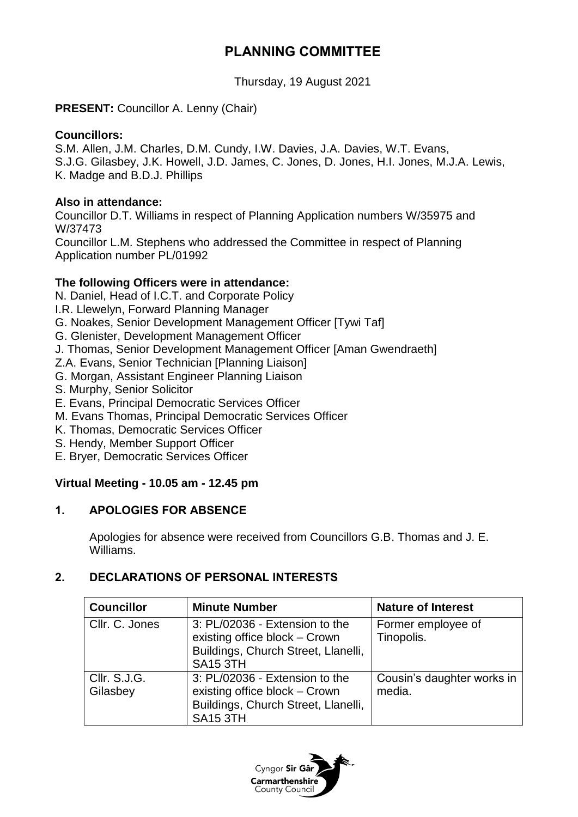# **PLANNING COMMITTEE**

Thursday, 19 August 2021

## **PRESENT:** Councillor A. Lenny (Chair)

#### **Councillors:**

S.M. Allen, J.M. Charles, D.M. Cundy, I.W. Davies, J.A. Davies, W.T. Evans, S.J.G. Gilasbey, J.K. Howell, J.D. James, C. Jones, D. Jones, H.I. Jones, M.J.A. Lewis, K. Madge and B.D.J. Phillips

#### **Also in attendance:**

Councillor D.T. Williams in respect of Planning Application numbers W/35975 and W/37473

Councillor L.M. Stephens who addressed the Committee in respect of Planning Application number PL/01992

# **The following Officers were in attendance:**

N. Daniel, Head of I.C.T. and Corporate Policy

- I.R. Llewelyn, Forward Planning Manager
- G. Noakes, Senior Development Management Officer [Tywi Taf]
- G. Glenister, Development Management Officer
- J. Thomas, Senior Development Management Officer [Aman Gwendraeth]
- Z.A. Evans, Senior Technician [Planning Liaison]
- G. Morgan, Assistant Engineer Planning Liaison
- S. Murphy, Senior Solicitor
- E. Evans, Principal Democratic Services Officer
- M. Evans Thomas, Principal Democratic Services Officer
- K. Thomas, Democratic Services Officer
- S. Hendy, Member Support Officer
- E. Bryer, Democratic Services Officer

# **Virtual Meeting - 10.05 am - 12.45 pm**

#### **1. APOLOGIES FOR ABSENCE**

Apologies for absence were received from Councillors G.B. Thomas and J. E. Williams.

## **2. DECLARATIONS OF PERSONAL INTERESTS**

| <b>Councillor</b>        | <b>Minute Number</b>                                                                                                      | <b>Nature of Interest</b>            |
|--------------------------|---------------------------------------------------------------------------------------------------------------------------|--------------------------------------|
| Cllr. C. Jones           | 3: PL/02036 - Extension to the<br>existing office block - Crown<br>Buildings, Church Street, Llanelli,<br><b>SA15 3TH</b> | Former employee of<br>Tinopolis.     |
| CIIr. S.J.G.<br>Gilasbey | 3: PL/02036 - Extension to the<br>existing office block - Crown<br>Buildings, Church Street, Llanelli,<br><b>SA15 3TH</b> | Cousin's daughter works in<br>media. |

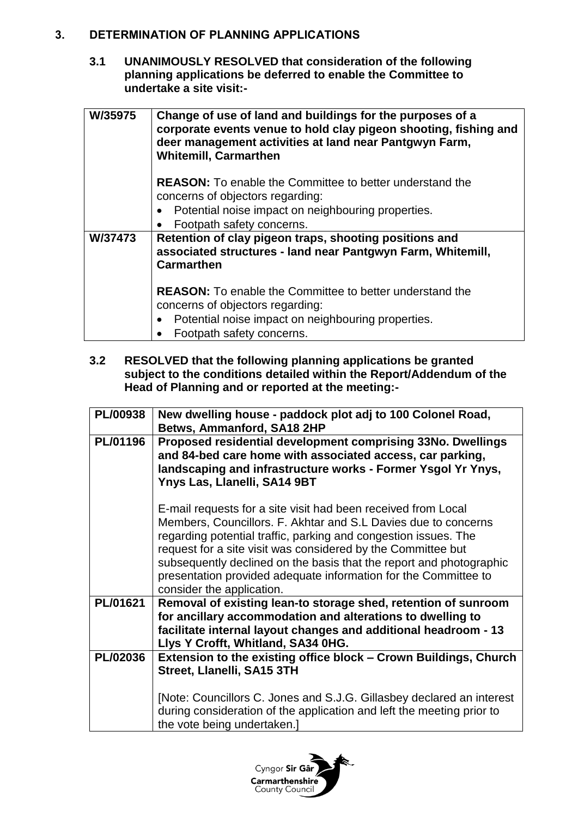## **3. DETERMINATION OF PLANNING APPLICATIONS**

**3.1 UNANIMOUSLY RESOLVED that consideration of the following planning applications be deferred to enable the Committee to undertake a site visit:-**

| W/35975 | Change of use of land and buildings for the purposes of a<br>corporate events venue to hold clay pigeon shooting, fishing and<br>deer management activities at land near Pantgwyn Farm,<br><b>Whitemill, Carmarthen</b> |
|---------|-------------------------------------------------------------------------------------------------------------------------------------------------------------------------------------------------------------------------|
|         | <b>REASON:</b> To enable the Committee to better understand the                                                                                                                                                         |
|         | concerns of objectors regarding:                                                                                                                                                                                        |
|         | Potential noise impact on neighbouring properties.                                                                                                                                                                      |
|         | Footpath safety concerns.                                                                                                                                                                                               |
| W/37473 | Retention of clay pigeon traps, shooting positions and<br>associated structures - land near Pantgwyn Farm, Whitemill,<br>Carmarthen                                                                                     |
|         | <b>REASON:</b> To enable the Committee to better understand the<br>concerns of objectors regarding:                                                                                                                     |
|         | Potential noise impact on neighbouring properties.                                                                                                                                                                      |
|         | Footpath safety concerns.                                                                                                                                                                                               |

**3.2 RESOLVED that the following planning applications be granted subject to the conditions detailed within the Report/Addendum of the Head of Planning and or reported at the meeting:-**

| <b>PL/00938</b> | New dwelling house - paddock plot adj to 100 Colonel Road,<br>Betws, Ammanford, SA18 2HP                                                                                                                                                                                                                                                                                                                                                  |
|-----------------|-------------------------------------------------------------------------------------------------------------------------------------------------------------------------------------------------------------------------------------------------------------------------------------------------------------------------------------------------------------------------------------------------------------------------------------------|
| <b>PL/01196</b> | Proposed residential development comprising 33No. Dwellings<br>and 84-bed care home with associated access, car parking,<br>landscaping and infrastructure works - Former Ysgol Yr Ynys,<br>Ynys Las, Llanelli, SA14 9BT                                                                                                                                                                                                                  |
|                 | E-mail requests for a site visit had been received from Local<br>Members, Councillors. F. Akhtar and S.L Davies due to concerns<br>regarding potential traffic, parking and congestion issues. The<br>request for a site visit was considered by the Committee but<br>subsequently declined on the basis that the report and photographic<br>presentation provided adequate information for the Committee to<br>consider the application. |
| PL/01621        | Removal of existing lean-to storage shed, retention of sunroom<br>for ancillary accommodation and alterations to dwelling to<br>facilitate internal layout changes and additional headroom - 13<br>Llys Y Crofft, Whitland, SA34 0HG.                                                                                                                                                                                                     |
| <b>PL/02036</b> | Extension to the existing office block - Crown Buildings, Church<br>Street, Llanelli, SA15 3TH                                                                                                                                                                                                                                                                                                                                            |
|                 | [Note: Councillors C. Jones and S.J.G. Gillasbey declared an interest<br>during consideration of the application and left the meeting prior to<br>the vote being undertaken.]                                                                                                                                                                                                                                                             |